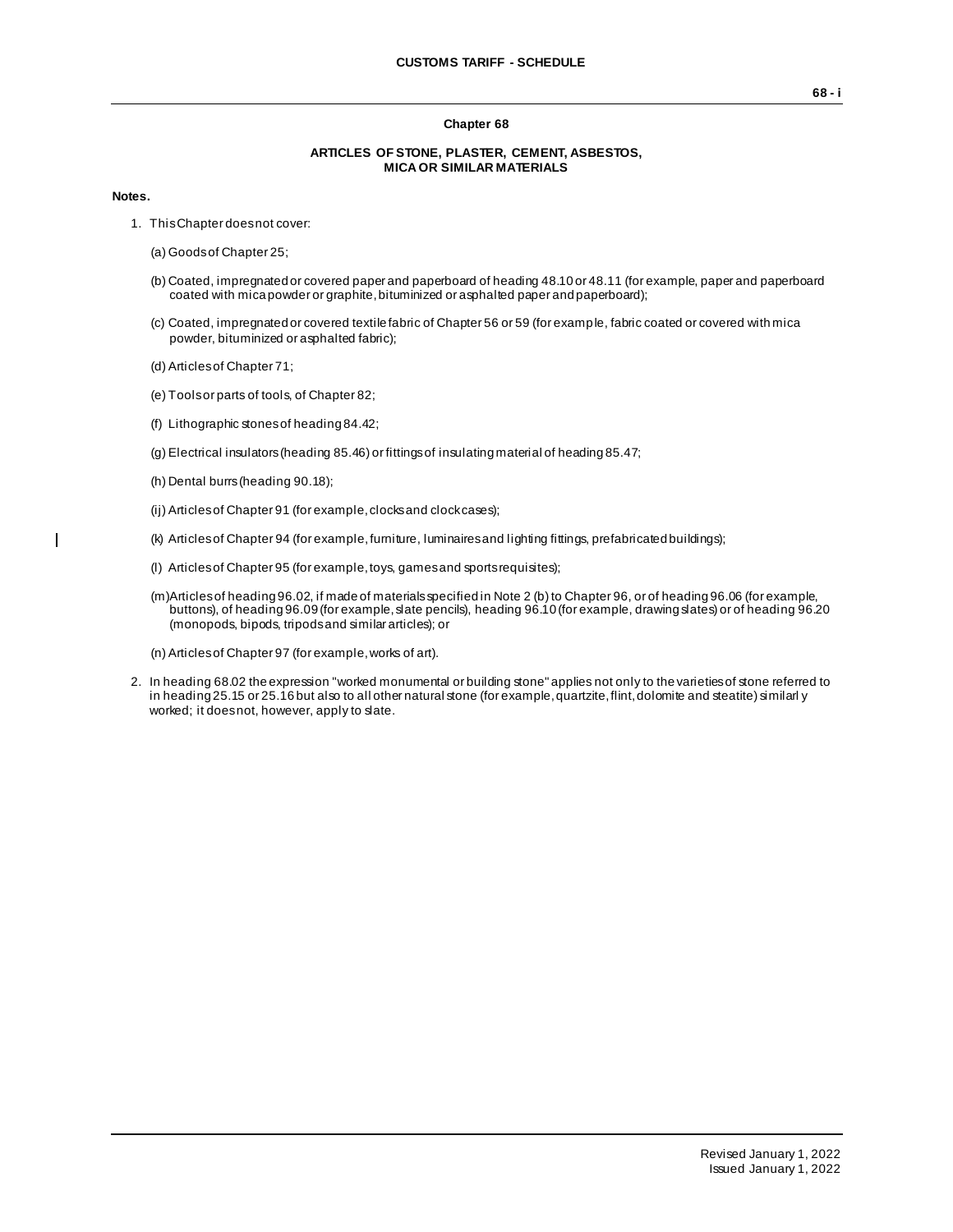## **Chapter 68**

## **ARTICLES OF STONE, PLASTER, CEMENT, ASBESTOS, MICA OR SIMILAR MATERIALS**

## **Notes.**

 $\overline{\phantom{a}}$ 

- 1. This Chapter does not cover:
	- (a) Goods of Chapter 25;
	- (b) Coated, impregnated or covered paper and paperboard of heading 48.10 or 48.11 (for example, paper and paperboard coated with mica powder or graphite, bituminized or asphalted paper and paperboard);
	- (c) Coated, impregnated or covered textile fabric of Chapter 56 or 59 (for example, fabric coated or covered with mica powder, bituminized or asphalted fabric);
	- (d) Articles of Chapter 71;
	- (e) Tools or parts of tools, of Chapter 82;
	- (f) Lithographic stones of heading 84.42;
	- (g) Electrical insulators (heading 85.46) or fittings of insulating material of heading 85.47;
	- (h) Dental burrs (heading 90.18);
	- (ii) Articles of Chapter 91 (for example, clocks and clock cases);
	- (k) Articles of Chapter 94 (for example, furniture, luminaires and lighting fittings, prefabricated buildings);
	- (l) Articles of Chapter 95 (for example, toys, games and sports requisites);
	- (m)Articles of heading 96.02, if made of materials specified in Note 2 (b) to Chapter 96, or of heading 96.06 (for example, buttons), of heading 96.09 (for example, slate pencils), heading 96.10 (for example, drawing slates) or of heading 96.20 (monopods, bipods, tripods and similar articles); or
	- (n) Articles of Chapter 97 (for example, works of art).
- 2. In heading 68.02 the expression "worked monumental or building stone" applies not only to the varieties of stone referred to in heading 25.15 or 25.16 but also to all other natural stone (for example, quartzite, flint, dolomite and steatite) similarl y worked; it does not, however, apply to slate.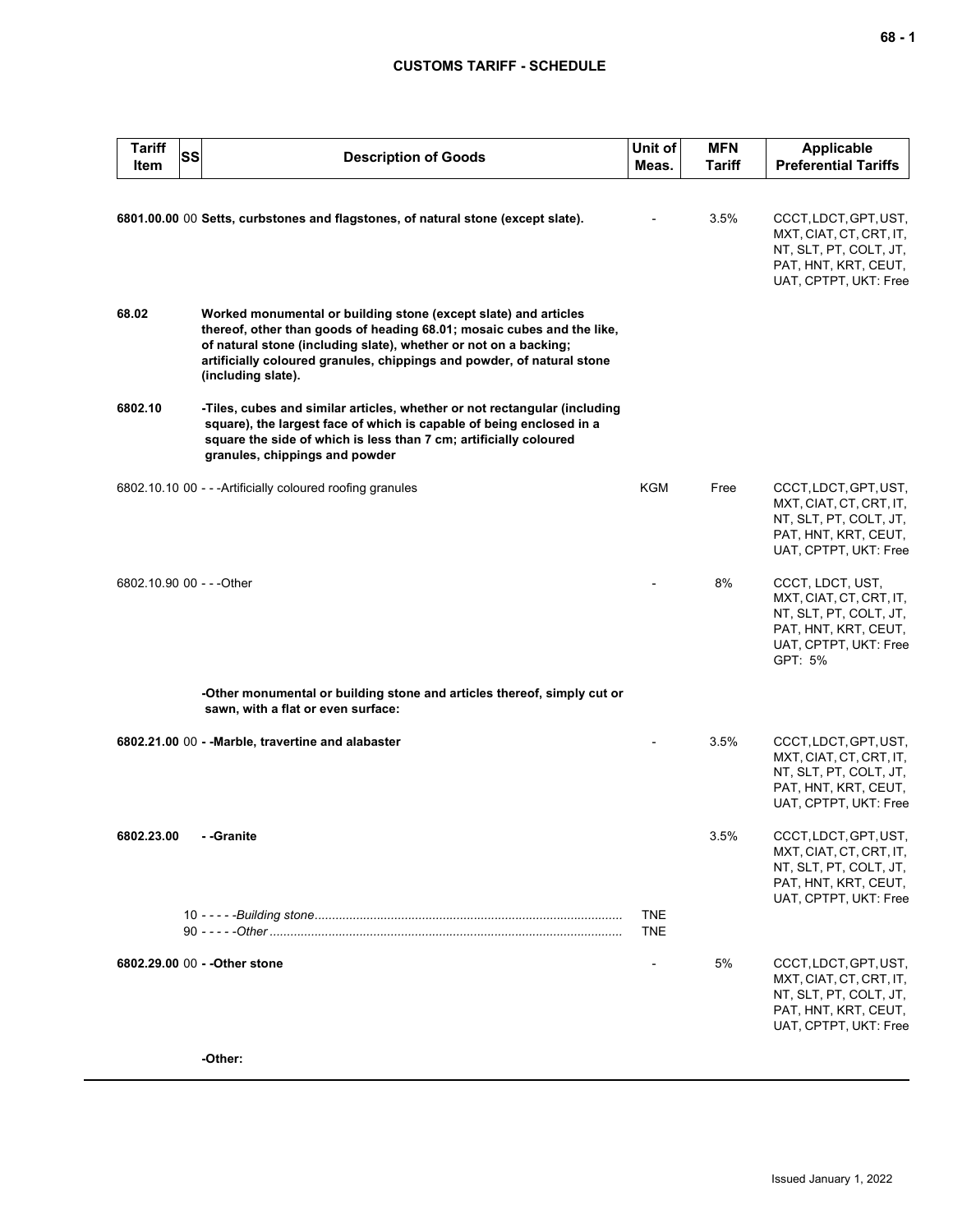## **CUSTOMS TARIFF - SCHEDULE**

| <b>Tariff</b><br>Item     | SS | <b>Description of Goods</b>                                                                                                                                                                                                                                                                                   | Unit of<br>Meas.         | <b>MFN</b><br><b>Tariff</b> | <b>Applicable</b><br><b>Preferential Tariffs</b>                                                                                  |
|---------------------------|----|---------------------------------------------------------------------------------------------------------------------------------------------------------------------------------------------------------------------------------------------------------------------------------------------------------------|--------------------------|-----------------------------|-----------------------------------------------------------------------------------------------------------------------------------|
|                           |    | 6801.00.00 00 Setts, curbstones and flagstones, of natural stone (except slate).                                                                                                                                                                                                                              |                          | 3.5%                        | CCCT, LDCT, GPT, UST,<br>MXT, CIAT, CT, CRT, IT,<br>NT, SLT, PT, COLT, JT,<br>PAT, HNT, KRT, CEUT,<br>UAT, CPTPT, UKT: Free       |
| 68.02                     |    | Worked monumental or building stone (except slate) and articles<br>thereof, other than goods of heading 68.01; mosaic cubes and the like,<br>of natural stone (including slate), whether or not on a backing;<br>artificially coloured granules, chippings and powder, of natural stone<br>(including slate). |                          |                             |                                                                                                                                   |
| 6802.10                   |    | -Tiles, cubes and similar articles, whether or not rectangular (including<br>square), the largest face of which is capable of being enclosed in a<br>square the side of which is less than 7 cm; artificially coloured<br>granules, chippings and powder                                                      |                          |                             |                                                                                                                                   |
|                           |    | 6802.10.10 00 - - - Artificially coloured roofing granules                                                                                                                                                                                                                                                    | <b>KGM</b>               | Free                        | CCCT, LDCT, GPT, UST,<br>MXT, CIAT, CT, CRT, IT,<br>NT, SLT, PT, COLT, JT,<br>PAT, HNT, KRT, CEUT,<br>UAT, CPTPT, UKT: Free       |
| 6802.10.90 00 - - - Other |    |                                                                                                                                                                                                                                                                                                               |                          | 8%                          | CCCT, LDCT, UST,<br>MXT, CIAT, CT, CRT, IT,<br>NT, SLT, PT, COLT, JT,<br>PAT, HNT, KRT, CEUT,<br>UAT, CPTPT, UKT: Free<br>GPT: 5% |
|                           |    | -Other monumental or building stone and articles thereof, simply cut or<br>sawn, with a flat or even surface:                                                                                                                                                                                                 |                          |                             |                                                                                                                                   |
|                           |    | 6802.21.00 00 - - Marble, travertine and alabaster                                                                                                                                                                                                                                                            |                          | 3.5%                        | CCCT, LDCT, GPT, UST,<br>MXT, CIAT, CT, CRT, IT,<br>NT, SLT, PT, COLT, JT,<br>PAT, HNT, KRT, CEUT,<br>UAT, CPTPT, UKT: Free       |
| 6802.23.00                |    | - -Granite                                                                                                                                                                                                                                                                                                    |                          | 3.5%                        | CCCT, LDCT, GPT, UST,<br>MXT, CIAT, CT, CRT, IT,<br>NT, SLT, PT, COLT, JT,<br>PAT, HNT, KRT, CEUT,<br>UAT, CPTPT, UKT: Free       |
|                           |    |                                                                                                                                                                                                                                                                                                               | <b>TNE</b><br><b>TNE</b> |                             |                                                                                                                                   |
|                           |    | 6802.29.00 00 - - Other stone                                                                                                                                                                                                                                                                                 |                          | 5%                          | CCCT, LDCT, GPT, UST,<br>MXT, CIAT, CT, CRT, IT,<br>NT, SLT, PT, COLT, JT,<br>PAT, HNT, KRT, CEUT,<br>UAT, CPTPT, UKT: Free       |
|                           |    | -Other:                                                                                                                                                                                                                                                                                                       |                          |                             |                                                                                                                                   |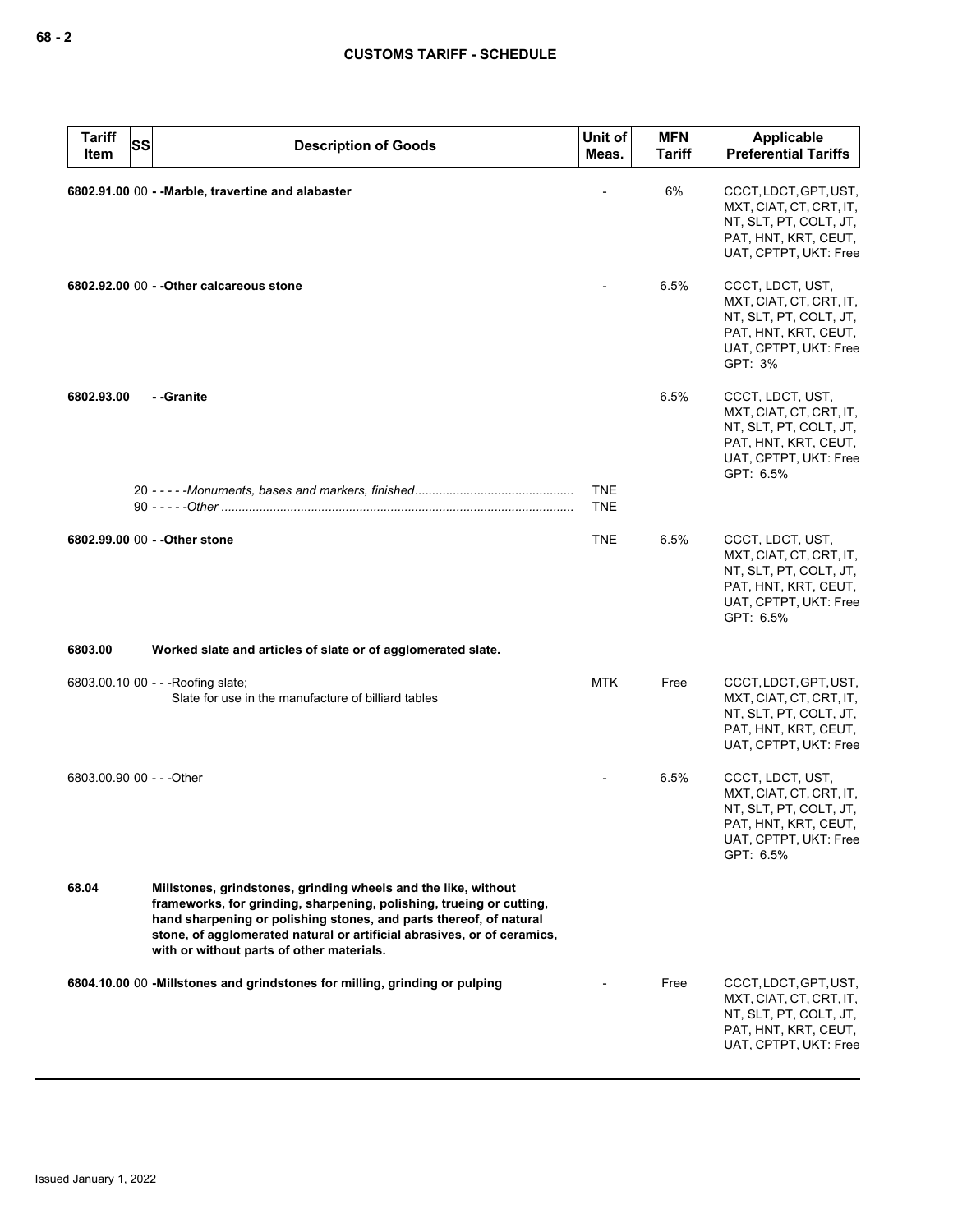| <b>Tariff</b><br><b>SS</b><br>Item | <b>Description of Goods</b>                                                                                                                                                                                                                                                                                                          | Unit of<br>Meas.         | <b>MFN</b><br><b>Tariff</b> | Applicable<br><b>Preferential Tariffs</b>                                                                                           |
|------------------------------------|--------------------------------------------------------------------------------------------------------------------------------------------------------------------------------------------------------------------------------------------------------------------------------------------------------------------------------------|--------------------------|-----------------------------|-------------------------------------------------------------------------------------------------------------------------------------|
|                                    | 6802.91.00 00 - - Marble, travertine and alabaster                                                                                                                                                                                                                                                                                   |                          | 6%                          | CCCT, LDCT, GPT, UST,<br>MXT, CIAT, CT, CRT, IT,<br>NT, SLT, PT, COLT, JT,<br>PAT, HNT, KRT, CEUT,<br>UAT, CPTPT, UKT: Free         |
|                                    | 6802.92.00 00 - - Other calcareous stone                                                                                                                                                                                                                                                                                             |                          | 6.5%                        | CCCT, LDCT, UST,<br>MXT, CIAT, CT, CRT, IT,<br>NT, SLT, PT, COLT, JT,<br>PAT, HNT, KRT, CEUT,<br>UAT, CPTPT, UKT: Free<br>GPT: 3%   |
| 6802.93.00                         | - -Granite                                                                                                                                                                                                                                                                                                                           |                          | 6.5%                        | CCCT, LDCT, UST,<br>MXT, CIAT, CT, CRT, IT,<br>NT, SLT, PT, COLT, JT,<br>PAT, HNT, KRT, CEUT,<br>UAT, CPTPT, UKT: Free<br>GPT: 6.5% |
|                                    |                                                                                                                                                                                                                                                                                                                                      | <b>TNE</b><br><b>TNE</b> |                             |                                                                                                                                     |
|                                    | 6802.99.00 00 - - Other stone                                                                                                                                                                                                                                                                                                        | <b>TNE</b>               | 6.5%                        | CCCT, LDCT, UST,<br>MXT, CIAT, CT, CRT, IT,<br>NT, SLT, PT, COLT, JT,<br>PAT, HNT, KRT, CEUT,<br>UAT, CPTPT, UKT: Free<br>GPT: 6.5% |
| 6803.00                            | Worked slate and articles of slate or of agglomerated slate.                                                                                                                                                                                                                                                                         |                          |                             |                                                                                                                                     |
|                                    | 6803.00.10 00 - - - Roofing slate;<br>Slate for use in the manufacture of billiard tables                                                                                                                                                                                                                                            | <b>MTK</b>               | Free                        | CCCT, LDCT, GPT, UST,<br>MXT, CIAT, CT, CRT, IT,<br>NT, SLT, PT, COLT, JT,<br>PAT, HNT, KRT, CEUT,<br>UAT, CPTPT, UKT: Free         |
| 6803.00.90 00 - - - Other          |                                                                                                                                                                                                                                                                                                                                      |                          | 6.5%                        | CCCT, LDCT, UST,<br>MXT, CIAT, CT, CRT, IT,<br>NT, SLT, PT, COLT, JT,<br>PAT, HNT, KRT, CEUT,<br>UAT, CPTPT, UKT: Free<br>GPT: 6.5% |
| 68.04                              | Millstones, grindstones, grinding wheels and the like, without<br>frameworks, for grinding, sharpening, polishing, trueing or cutting,<br>hand sharpening or polishing stones, and parts thereof, of natural<br>stone, of agglomerated natural or artificial abrasives, or of ceramics,<br>with or without parts of other materials. |                          |                             |                                                                                                                                     |
|                                    | 6804.10.00 00 -Millstones and grindstones for milling, grinding or pulping                                                                                                                                                                                                                                                           |                          | Free                        | CCCT, LDCT, GPT, UST,<br>MXT, CIAT, CT, CRT, IT,<br>NT, SLT, PT, COLT, JT,<br>PAT, HNT, KRT, CEUT,<br>UAT, CPTPT, UKT: Free         |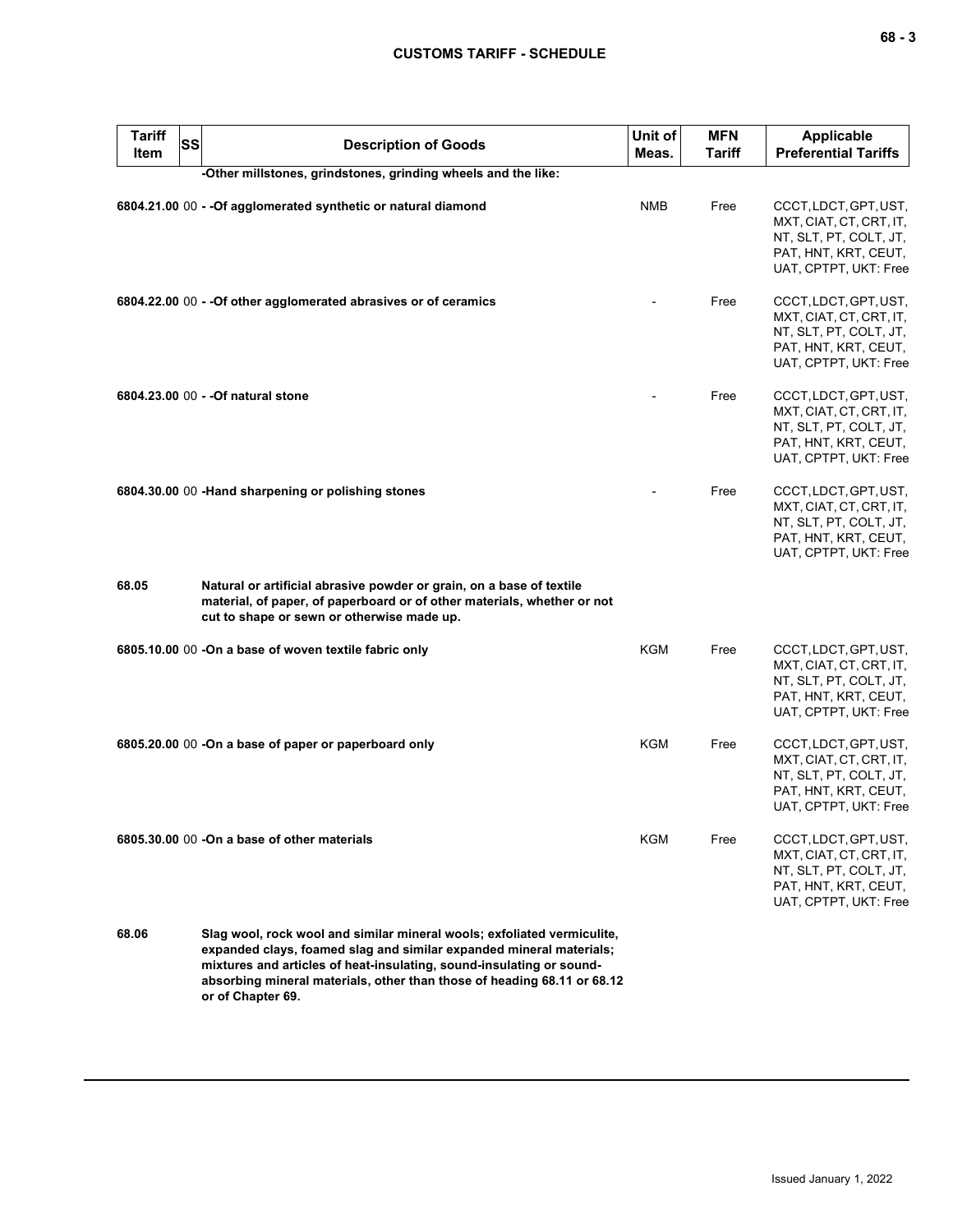| <b>Tariff</b><br><b>SS</b><br>Item | <b>Description of Goods</b>                                                                                                                                                                                                                                                                                            | Unit of<br>Meas. | <b>MFN</b><br><b>Tariff</b> | <b>Applicable</b><br><b>Preferential Tariffs</b>                                                                            |
|------------------------------------|------------------------------------------------------------------------------------------------------------------------------------------------------------------------------------------------------------------------------------------------------------------------------------------------------------------------|------------------|-----------------------------|-----------------------------------------------------------------------------------------------------------------------------|
|                                    | -Other millstones, grindstones, grinding wheels and the like:                                                                                                                                                                                                                                                          |                  |                             |                                                                                                                             |
|                                    | 6804.21.00 00 - - Of agglomerated synthetic or natural diamond                                                                                                                                                                                                                                                         | <b>NMB</b>       | Free                        | CCCT, LDCT, GPT, UST,<br>MXT, CIAT, CT, CRT, IT,<br>NT, SLT, PT, COLT, JT,<br>PAT, HNT, KRT, CEUT,<br>UAT, CPTPT, UKT: Free |
|                                    | 6804.22.00 00 - - Of other agglomerated abrasives or of ceramics                                                                                                                                                                                                                                                       |                  | Free                        | CCCT, LDCT, GPT, UST,<br>MXT, CIAT, CT, CRT, IT,<br>NT, SLT, PT, COLT, JT,<br>PAT, HNT, KRT, CEUT,<br>UAT, CPTPT, UKT: Free |
|                                    |                                                                                                                                                                                                                                                                                                                        |                  | Free                        | CCCT, LDCT, GPT, UST,<br>MXT, CIAT, CT, CRT, IT,<br>NT, SLT, PT, COLT, JT,<br>PAT, HNT, KRT, CEUT,<br>UAT, CPTPT, UKT: Free |
|                                    | 6804.30.00 00 -Hand sharpening or polishing stones                                                                                                                                                                                                                                                                     |                  | Free                        | CCCT, LDCT, GPT, UST,<br>MXT, CIAT, CT, CRT, IT,<br>NT, SLT, PT, COLT, JT,<br>PAT, HNT, KRT, CEUT,<br>UAT, CPTPT, UKT: Free |
| 68.05                              | Natural or artificial abrasive powder or grain, on a base of textile<br>material, of paper, of paperboard or of other materials, whether or not<br>cut to shape or sewn or otherwise made up.                                                                                                                          |                  |                             |                                                                                                                             |
|                                    | 6805.10.00 00 -On a base of woven textile fabric only                                                                                                                                                                                                                                                                  | KGM              | Free                        | CCCT, LDCT, GPT, UST,<br>MXT, CIAT, CT, CRT, IT,<br>NT, SLT, PT, COLT, JT,<br>PAT, HNT, KRT, CEUT,<br>UAT, CPTPT, UKT: Free |
|                                    | 6805.20.00 00 -On a base of paper or paperboard only                                                                                                                                                                                                                                                                   | KGM              | Free                        | CCCT, LDCT, GPT, UST,<br>MXT, CIAT, CT, CRT, IT,<br>NT, SLT, PT, COLT, JT,<br>PAT, HNT, KRT, CEUT,<br>UAT, CPTPT, UKT: Free |
|                                    | 6805.30.00 00 -On a base of other materials                                                                                                                                                                                                                                                                            | KGM              | Free                        | CCCT, LDCT, GPT, UST,<br>MXT, CIAT, CT, CRT, IT,<br>NT, SLT, PT, COLT, JT,<br>PAT, HNT, KRT, CEUT,<br>UAT, CPTPT, UKT: Free |
| 68.06                              | Slag wool, rock wool and similar mineral wools; exfoliated vermiculite,<br>expanded clays, foamed slag and similar expanded mineral materials;<br>mixtures and articles of heat-insulating, sound-insulating or sound-<br>absorbing mineral materials, other than those of heading 68.11 or 68.12<br>or of Chapter 69. |                  |                             |                                                                                                                             |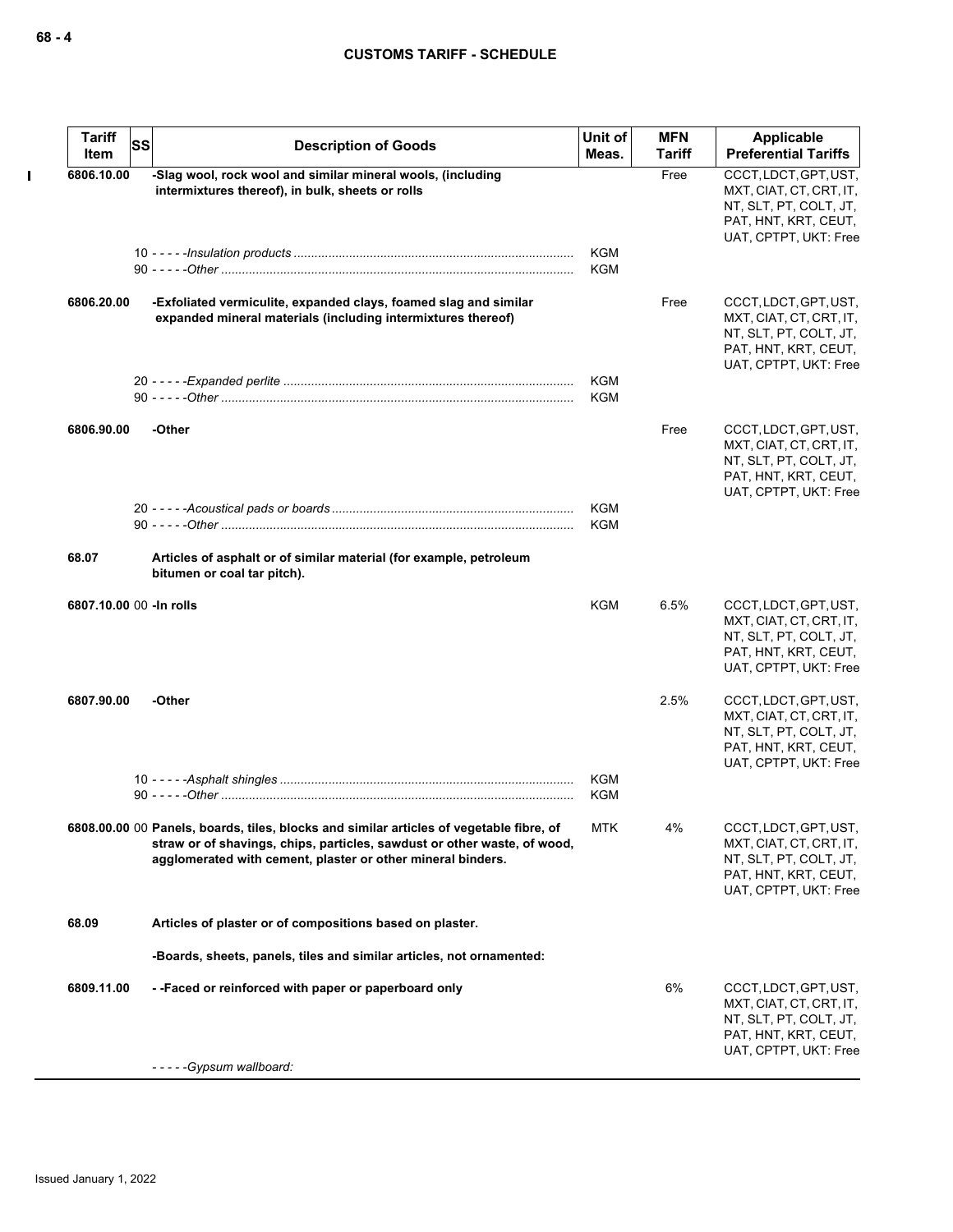| <b>Tariff</b><br>Item    | SS | <b>Description of Goods</b>                                                                                                                                                                                                        | Unit of<br>Meas. | <b>MFN</b><br><b>Tariff</b> | Applicable<br><b>Preferential Tariffs</b>                                                                                   |
|--------------------------|----|------------------------------------------------------------------------------------------------------------------------------------------------------------------------------------------------------------------------------------|------------------|-----------------------------|-----------------------------------------------------------------------------------------------------------------------------|
| 6806.10.00               |    | -Slag wool, rock wool and similar mineral wools, (including<br>intermixtures thereof), in bulk, sheets or rolls                                                                                                                    |                  | Free                        | CCCT, LDCT, GPT, UST,<br>MXT, CIAT, CT, CRT, IT,<br>NT, SLT, PT, COLT, JT,<br>PAT, HNT, KRT, CEUT,<br>UAT, CPTPT, UKT: Free |
|                          |    |                                                                                                                                                                                                                                    | KGM<br>KGM       |                             |                                                                                                                             |
| 6806.20.00               |    | -Exfoliated vermiculite, expanded clays, foamed slag and similar<br>expanded mineral materials (including intermixtures thereof)                                                                                                   |                  | Free                        | CCCT, LDCT, GPT, UST,<br>MXT, CIAT, CT, CRT, IT,<br>NT, SLT, PT, COLT, JT,<br>PAT, HNT, KRT, CEUT,<br>UAT, CPTPT, UKT: Free |
|                          |    |                                                                                                                                                                                                                                    | KGM<br>KGM       |                             |                                                                                                                             |
| 6806.90.00               |    | -Other                                                                                                                                                                                                                             |                  | Free                        | CCCT, LDCT, GPT, UST,<br>MXT, CIAT, CT, CRT, IT,<br>NT, SLT, PT, COLT, JT,<br>PAT, HNT, KRT, CEUT,<br>UAT, CPTPT, UKT: Free |
|                          |    |                                                                                                                                                                                                                                    | KGM<br>KGM       |                             |                                                                                                                             |
| 68.07                    |    | Articles of asphalt or of similar material (for example, petroleum<br>bitumen or coal tar pitch).                                                                                                                                  |                  |                             |                                                                                                                             |
| 6807.10.00 00 - In rolls |    |                                                                                                                                                                                                                                    | KGM              | 6.5%                        | CCCT, LDCT, GPT, UST,<br>MXT, CIAT, CT, CRT, IT,<br>NT, SLT, PT, COLT, JT,<br>PAT, HNT, KRT, CEUT,<br>UAT, CPTPT, UKT: Free |
| 6807.90.00               |    | -Other                                                                                                                                                                                                                             |                  | 2.5%                        | CCCT, LDCT, GPT, UST,<br>MXT, CIAT, CT, CRT, IT,<br>NT, SLT, PT, COLT, JT,<br>PAT, HNT, KRT, CEUT,<br>UAT, CPTPT, UKT: Free |
|                          |    |                                                                                                                                                                                                                                    | KGM<br>KGM       |                             |                                                                                                                             |
|                          |    | 6808.00.00 00 Panels, boards, tiles, blocks and similar articles of vegetable fibre, of<br>straw or of shavings, chips, particles, sawdust or other waste, of wood,<br>agglomerated with cement, plaster or other mineral binders. | <b>MTK</b>       | 4%                          | CCCT, LDCT, GPT, UST,<br>MXT, CIAT, CT, CRT, IT,<br>NT, SLT, PT, COLT, JT,<br>PAT, HNT, KRT, CEUT,<br>UAT, CPTPT, UKT: Free |
| 68.09                    |    | Articles of plaster or of compositions based on plaster.                                                                                                                                                                           |                  |                             |                                                                                                                             |
|                          |    | -Boards, sheets, panels, tiles and similar articles, not ornamented:                                                                                                                                                               |                  |                             |                                                                                                                             |
| 6809.11.00               |    | --Faced or reinforced with paper or paperboard only                                                                                                                                                                                |                  | 6%                          | CCCT, LDCT, GPT, UST,<br>MXT, CIAT, CT, CRT, IT,<br>NT, SLT, PT, COLT, JT,<br>PAT, HNT, KRT, CEUT,<br>UAT, CPTPT, UKT: Free |
|                          |    | -----Gypsum wallboard:                                                                                                                                                                                                             |                  |                             |                                                                                                                             |

 $\mathbf I$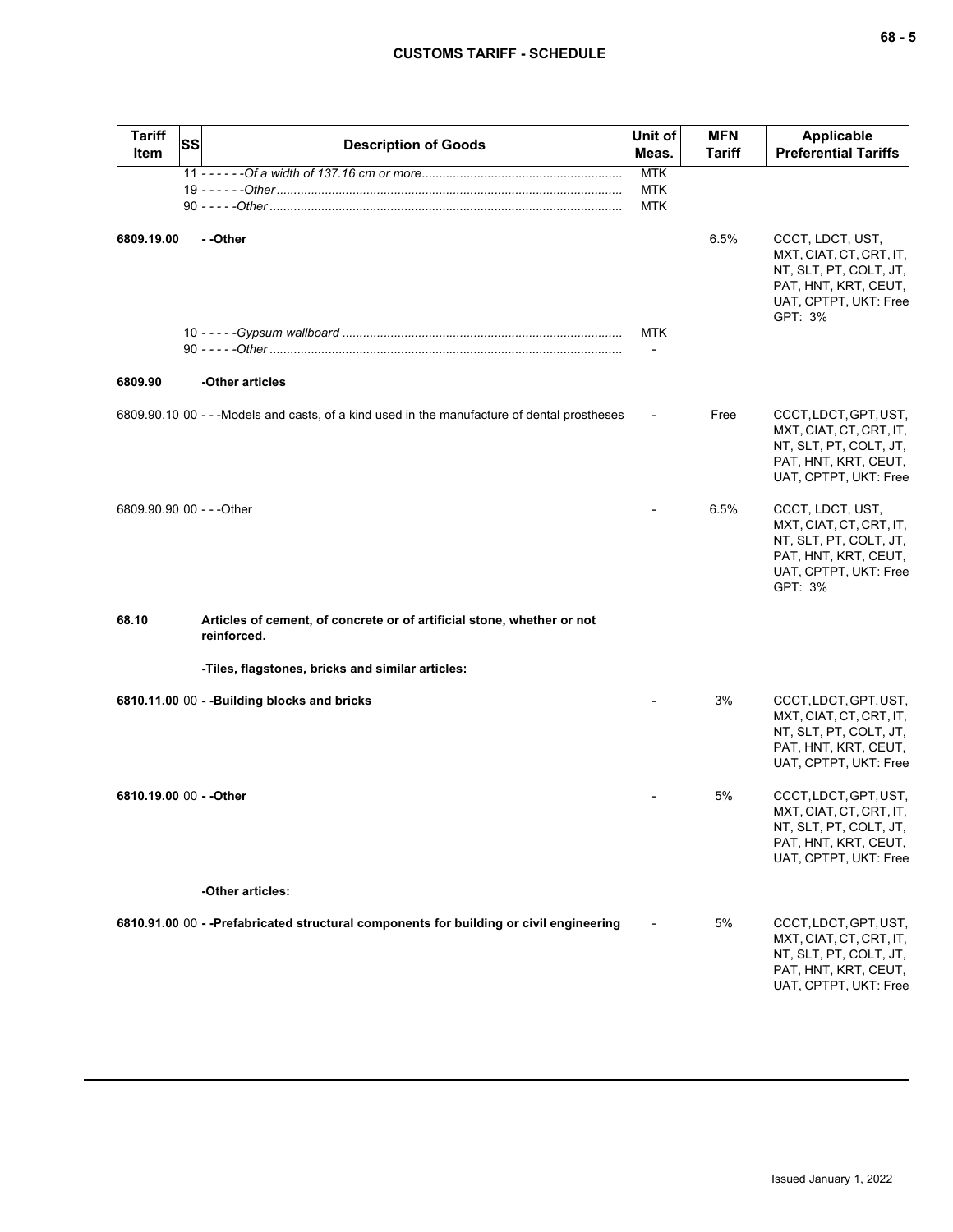| I<br>×<br>$\sim$ |  | $\overline{\phantom{a}}$ |
|------------------|--|--------------------------|
|------------------|--|--------------------------|

| <b>Tariff</b><br><b>Item</b> | <b>SS</b> | <b>Description of Goods</b>                                                                  | Unit of<br>Meas.                       | <b>MFN</b><br><b>Tariff</b> | <b>Applicable</b><br><b>Preferential Tariffs</b>                                                                                  |
|------------------------------|-----------|----------------------------------------------------------------------------------------------|----------------------------------------|-----------------------------|-----------------------------------------------------------------------------------------------------------------------------------|
|                              |           |                                                                                              | <b>MTK</b><br><b>MTK</b><br><b>MTK</b> |                             |                                                                                                                                   |
| 6809.19.00                   |           | - -Other                                                                                     |                                        | 6.5%                        | CCCT, LDCT, UST,<br>MXT, CIAT, CT, CRT, IT,<br>NT, SLT, PT, COLT, JT,<br>PAT, HNT, KRT, CEUT,<br>UAT, CPTPT, UKT: Free<br>GPT: 3% |
|                              |           |                                                                                              | MTK                                    |                             |                                                                                                                                   |
| 6809.90                      |           | -Other articles                                                                              |                                        |                             |                                                                                                                                   |
|                              |           | 6809.90.10 00 - - - Models and casts, of a kind used in the manufacture of dental prostheses |                                        | Free                        | CCCT, LDCT, GPT, UST,<br>MXT, CIAT, CT, CRT, IT,<br>NT, SLT, PT, COLT, JT,<br>PAT, HNT, KRT, CEUT,<br>UAT, CPTPT, UKT: Free       |
| 6809.90.90 00 - - - Other    |           |                                                                                              |                                        | 6.5%                        | CCCT, LDCT, UST,<br>MXT, CIAT, CT, CRT, IT,<br>NT, SLT, PT, COLT, JT,<br>PAT, HNT, KRT, CEUT,<br>UAT, CPTPT, UKT: Free<br>GPT: 3% |
| 68.10                        |           | Articles of cement, of concrete or of artificial stone, whether or not<br>reinforced.        |                                        |                             |                                                                                                                                   |
|                              |           | -Tiles, flagstones, bricks and similar articles:                                             |                                        |                             |                                                                                                                                   |
|                              |           | 6810.11.00 00 - - Building blocks and bricks                                                 |                                        | 3%                          | CCCT, LDCT, GPT, UST,<br>MXT, CIAT, CT, CRT, IT,<br>NT, SLT, PT, COLT, JT,<br>PAT, HNT, KRT, CEUT,<br>UAT, CPTPT, UKT: Free       |
| 6810.19.00 00 - - Other      |           |                                                                                              |                                        | 5%                          | CCCT, LDCT, GPT, UST,<br>MXT, CIAT, CT, CRT, IT,<br>NT, SLT, PT, COLT, JT,<br>PAT, HNT, KRT, CEUT,<br>UAT, CPTPT, UKT: Free       |
|                              |           | -Other articles:                                                                             |                                        |                             |                                                                                                                                   |
|                              |           | 6810.91.00 00 - -Prefabricated structural components for building or civil engineering       |                                        | 5%                          | CCCT, LDCT, GPT, UST,<br>MXT, CIAT, CT, CRT, IT,<br>NT, SLT, PT, COLT, JT,<br>PAT, HNT, KRT, CEUT,<br>UAT, CPTPT, UKT: Free       |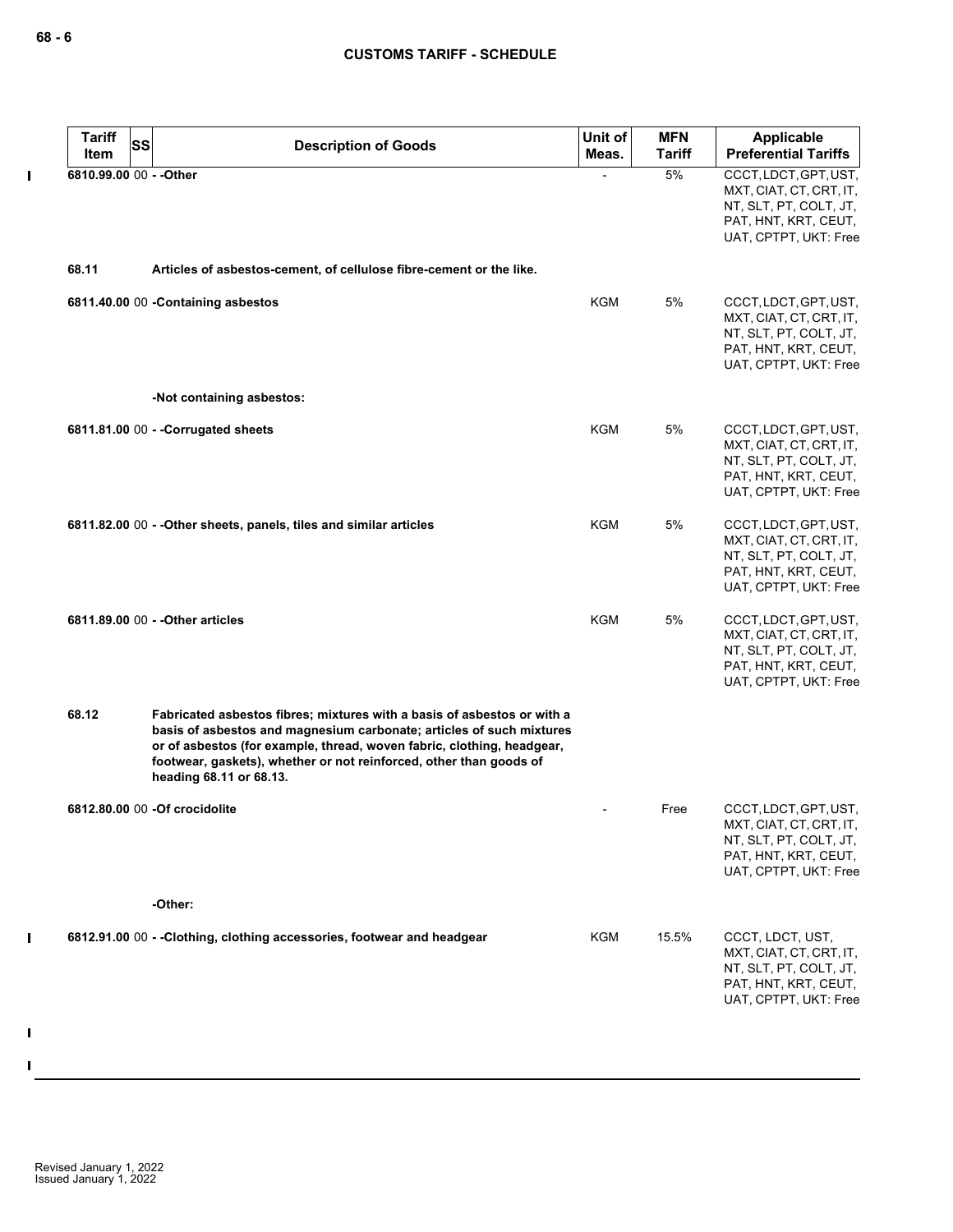$\pmb{\mathsf{I}}$ 

| <b>Tariff</b><br>Item   | SS | <b>Description of Goods</b>                                                                                                                                                                                                                                                                                                | Unit of<br>Meas. | <b>MFN</b><br><b>Tariff</b> | <b>Applicable</b><br><b>Preferential Tariffs</b>                                                                            |
|-------------------------|----|----------------------------------------------------------------------------------------------------------------------------------------------------------------------------------------------------------------------------------------------------------------------------------------------------------------------------|------------------|-----------------------------|-----------------------------------------------------------------------------------------------------------------------------|
| 6810.99.00 00 - - Other |    |                                                                                                                                                                                                                                                                                                                            |                  | 5%                          | CCCT, LDCT, GPT, UST,<br>MXT, CIAT, CT, CRT, IT,<br>NT, SLT, PT, COLT, JT,<br>PAT, HNT, KRT, CEUT,<br>UAT, CPTPT, UKT: Free |
| 68.11                   |    | Articles of asbestos-cement, of cellulose fibre-cement or the like.                                                                                                                                                                                                                                                        |                  |                             |                                                                                                                             |
|                         |    | 6811.40.00 00 - Containing asbestos                                                                                                                                                                                                                                                                                        | <b>KGM</b>       | 5%                          | CCCT, LDCT, GPT, UST,<br>MXT, CIAT, CT, CRT, IT,<br>NT, SLT, PT, COLT, JT,<br>PAT, HNT, KRT, CEUT,<br>UAT, CPTPT, UKT: Free |
|                         |    | -Not containing asbestos:                                                                                                                                                                                                                                                                                                  |                  |                             |                                                                                                                             |
|                         |    | 6811.81.00 00 - - Corrugated sheets                                                                                                                                                                                                                                                                                        | <b>KGM</b>       | 5%                          | CCCT, LDCT, GPT, UST,<br>MXT, CIAT, CT, CRT, IT,<br>NT, SLT, PT, COLT, JT,<br>PAT, HNT, KRT, CEUT,<br>UAT, CPTPT, UKT: Free |
|                         |    | 6811.82.00 00 - - Other sheets, panels, tiles and similar articles                                                                                                                                                                                                                                                         | <b>KGM</b>       | 5%                          | CCCT, LDCT, GPT, UST,<br>MXT, CIAT, CT, CRT, IT,<br>NT, SLT, PT, COLT, JT,<br>PAT, HNT, KRT, CEUT,<br>UAT, CPTPT, UKT: Free |
|                         |    | 6811.89.00 00 - - Other articles                                                                                                                                                                                                                                                                                           | <b>KGM</b>       | 5%                          | CCCT, LDCT, GPT, UST,<br>MXT, CIAT, CT, CRT, IT,<br>NT, SLT, PT, COLT, JT,<br>PAT, HNT, KRT, CEUT,<br>UAT, CPTPT, UKT: Free |
| 68.12                   |    | Fabricated asbestos fibres; mixtures with a basis of asbestos or with a<br>basis of asbestos and magnesium carbonate; articles of such mixtures<br>or of asbestos (for example, thread, woven fabric, clothing, headgear,<br>footwear, gaskets), whether or not reinforced, other than goods of<br>heading 68.11 or 68.13. |                  |                             |                                                                                                                             |
|                         |    | 6812.80.00 00 - Of crocidolite                                                                                                                                                                                                                                                                                             |                  | Free                        | CCCT, LDCT, GPT, UST,<br>MXT, CIAT, CT, CRT, IT,<br>NT, SLT, PT, COLT, JT,<br>PAT, HNT, KRT, CEUT,<br>UAT, CPTPT, UKT: Free |
|                         |    | -Other:                                                                                                                                                                                                                                                                                                                    |                  |                             |                                                                                                                             |
|                         |    | 6812.91.00 00 - -Clothing, clothing accessories, footwear and headgear                                                                                                                                                                                                                                                     | <b>KGM</b>       | 15.5%                       | CCCT, LDCT, UST,<br>MXT, CIAT, CT, CRT, IT,<br>NT, SLT, PT, COLT, JT,<br>PAT, HNT, KRT, CEUT,<br>UAT, CPTPT, UKT: Free      |

 $\mathbf I$ 

 $\mathbf{I}$ 

 $\mathbf{I}$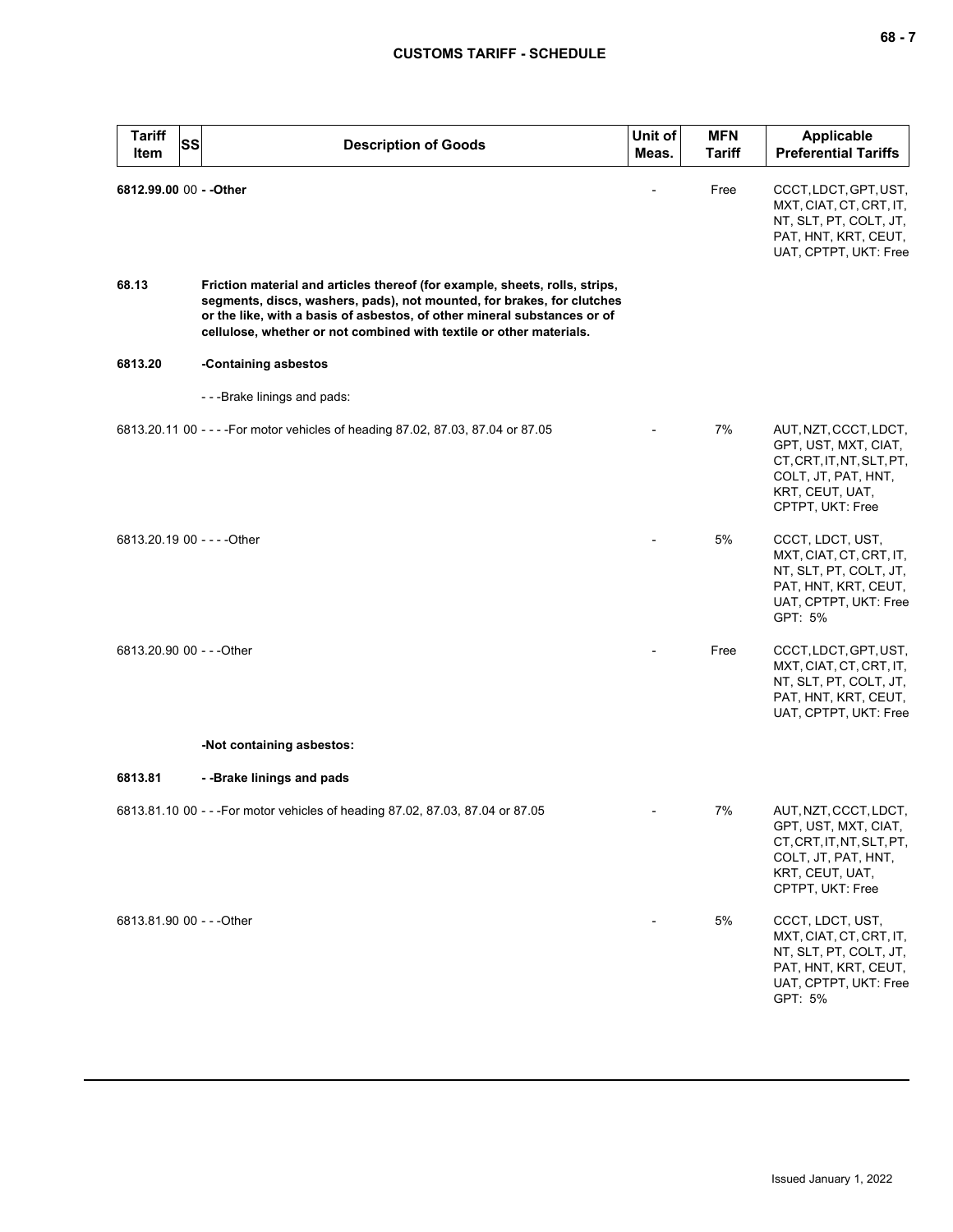| <b>Tariff</b><br>Item     | <b>SS</b> | <b>Description of Goods</b>                                                                                                                                                                                                                                                                              | Unit of<br>Meas. | <b>MFN</b><br><b>Tariff</b> | <b>Applicable</b><br><b>Preferential Tariffs</b>                                                                                         |
|---------------------------|-----------|----------------------------------------------------------------------------------------------------------------------------------------------------------------------------------------------------------------------------------------------------------------------------------------------------------|------------------|-----------------------------|------------------------------------------------------------------------------------------------------------------------------------------|
| 6812.99.00 00 - - Other   |           |                                                                                                                                                                                                                                                                                                          |                  | Free                        | CCCT, LDCT, GPT, UST,<br>MXT, CIAT, CT, CRT, IT,<br>NT, SLT, PT, COLT, JT,<br>PAT, HNT, KRT, CEUT,<br>UAT, CPTPT, UKT: Free              |
| 68.13                     |           | Friction material and articles thereof (for example, sheets, rolls, strips,<br>segments, discs, washers, pads), not mounted, for brakes, for clutches<br>or the like, with a basis of asbestos, of other mineral substances or of<br>cellulose, whether or not combined with textile or other materials. |                  |                             |                                                                                                                                          |
| 6813.20                   |           | -Containing asbestos                                                                                                                                                                                                                                                                                     |                  |                             |                                                                                                                                          |
|                           |           | ---Brake linings and pads:                                                                                                                                                                                                                                                                               |                  |                             |                                                                                                                                          |
|                           |           | 6813.20.11 00 - - - - For motor vehicles of heading 87.02, 87.03, 87.04 or 87.05                                                                                                                                                                                                                         |                  | 7%                          | AUT, NZT, CCCT, LDCT,<br>GPT, UST, MXT, CIAT,<br>CT, CRT, IT, NT, SLT, PT,<br>COLT, JT, PAT, HNT,<br>KRT, CEUT, UAT,<br>CPTPT, UKT: Free |
|                           |           | 6813.20.19 00 - - - - Other                                                                                                                                                                                                                                                                              |                  | 5%                          | CCCT, LDCT, UST,<br>MXT, CIAT, CT, CRT, IT,<br>NT, SLT, PT, COLT, JT,<br>PAT, HNT, KRT, CEUT,<br>UAT, CPTPT, UKT: Free<br>GPT: 5%        |
| 6813.20.90 00 - - - Other |           |                                                                                                                                                                                                                                                                                                          |                  | Free                        | CCCT, LDCT, GPT, UST,<br>MXT, CIAT, CT, CRT, IT,<br>NT, SLT, PT, COLT, JT,<br>PAT, HNT, KRT, CEUT,<br>UAT, CPTPT, UKT: Free              |
|                           |           | -Not containing asbestos:                                                                                                                                                                                                                                                                                |                  |                             |                                                                                                                                          |
| 6813.81                   |           | --Brake linings and pads                                                                                                                                                                                                                                                                                 |                  |                             |                                                                                                                                          |
|                           |           | 6813.81.10 00 - - - For motor vehicles of heading 87.02, 87.03, 87.04 or 87.05                                                                                                                                                                                                                           |                  | 7%                          | AUT, NZT, CCCT, LDCT,<br>GPT, UST, MXT, CIAT,<br>CT, CRT, IT, NT, SLT, PT,<br>COLT, JT, PAT, HNT,<br>KRT, CEUT, UAT,<br>CPTPT, UKT: Free |
| 6813.81.90 00 - - - Other |           |                                                                                                                                                                                                                                                                                                          |                  | 5%                          | CCCT, LDCT, UST,<br>MXT, CIAT, CT, CRT, IT,<br>NT, SLT, PT, COLT, JT,<br>PAT, HNT, KRT, CEUT,<br>UAT, CPTPT, UKT: Free<br>GPT: 5%        |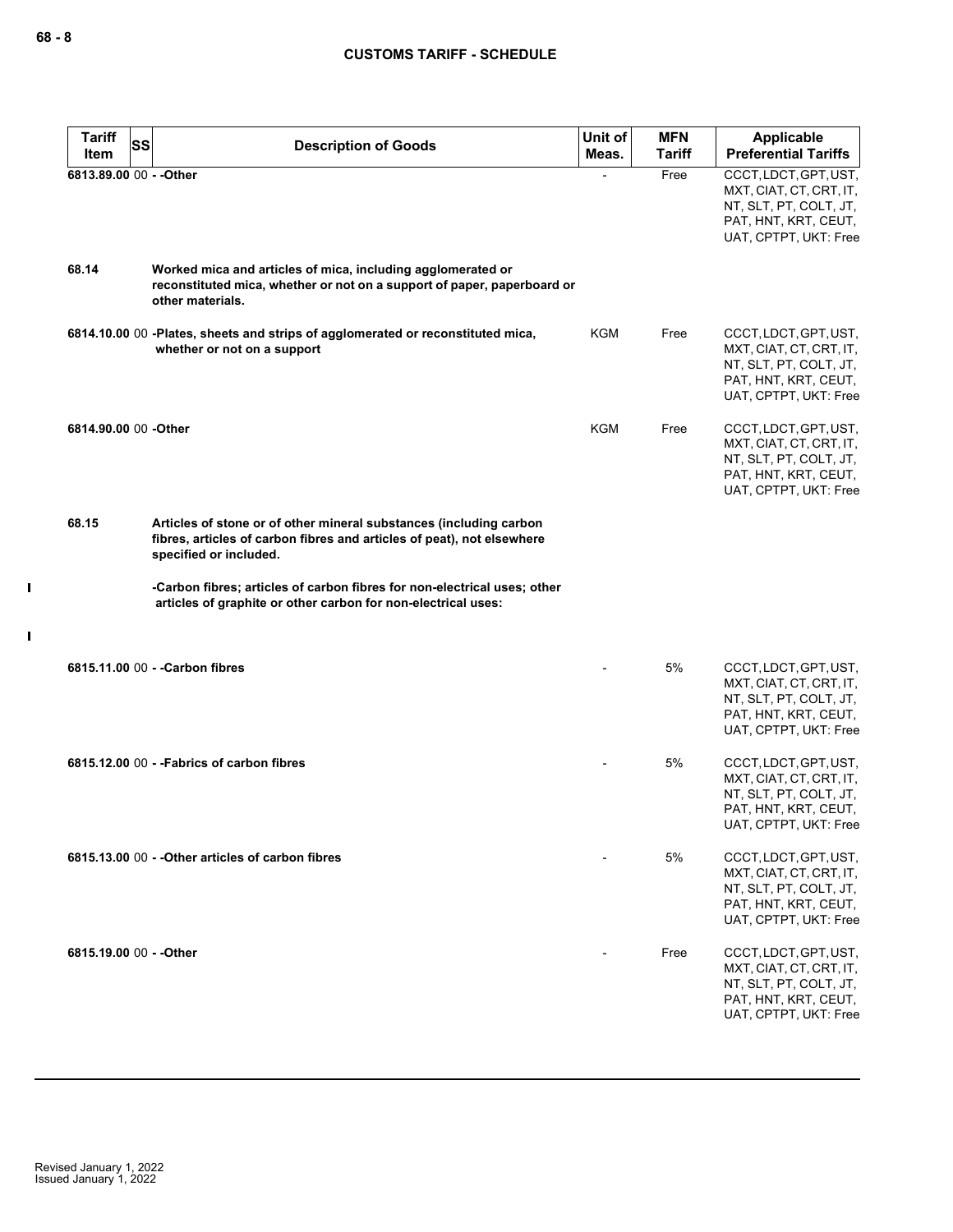| <b>Tariff</b><br>SS     | <b>Description of Goods</b>                                                                                                                                            | Unit of    | <b>MFN</b>    | <b>Applicable</b>                                                                                                           |
|-------------------------|------------------------------------------------------------------------------------------------------------------------------------------------------------------------|------------|---------------|-----------------------------------------------------------------------------------------------------------------------------|
| Item                    |                                                                                                                                                                        | Meas.      | <b>Tariff</b> | <b>Preferential Tariffs</b>                                                                                                 |
| 6813.89.00 00 - - Other |                                                                                                                                                                        |            | Free          | CCCT, LDCT, GPT, UST,<br>MXT, CIAT, CT, CRT, IT,<br>NT, SLT, PT, COLT, JT,<br>PAT, HNT, KRT, CEUT,<br>UAT, CPTPT, UKT: Free |
| 68.14                   | Worked mica and articles of mica, including agglomerated or<br>reconstituted mica, whether or not on a support of paper, paperboard or<br>other materials.             |            |               |                                                                                                                             |
|                         | 6814.10.00 00 -Plates, sheets and strips of agglomerated or reconstituted mica,<br>whether or not on a support                                                         | KGM        | Free          | CCCT, LDCT, GPT, UST,<br>MXT, CIAT, CT, CRT, IT,<br>NT, SLT, PT, COLT, JT,<br>PAT, HNT, KRT, CEUT,<br>UAT, CPTPT, UKT: Free |
| 6814.90.00 00 -Other    |                                                                                                                                                                        | <b>KGM</b> | Free          | CCCT, LDCT, GPT, UST,<br>MXT, CIAT, CT, CRT, IT,<br>NT, SLT, PT, COLT, JT,<br>PAT, HNT, KRT, CEUT,<br>UAT, CPTPT, UKT: Free |
| 68.15                   | Articles of stone or of other mineral substances (including carbon<br>fibres, articles of carbon fibres and articles of peat), not elsewhere<br>specified or included. |            |               |                                                                                                                             |
|                         | -Carbon fibres; articles of carbon fibres for non-electrical uses; other<br>articles of graphite or other carbon for non-electrical uses:                              |            |               |                                                                                                                             |
|                         | 6815.11.00 00 - - Carbon fibres                                                                                                                                        |            | 5%            | CCCT, LDCT, GPT, UST,<br>MXT, CIAT, CT, CRT, IT,<br>NT, SLT, PT, COLT, JT,<br>PAT, HNT, KRT, CEUT,<br>UAT, CPTPT, UKT: Free |
|                         | 6815.12.00 00 - - Fabrics of carbon fibres                                                                                                                             |            | 5%            | CCCT, LDCT, GPT, UST,<br>MXT, CIAT, CT, CRT, IT,<br>NT, SLT, PT, COLT, JT,<br>PAT, HNT, KRT, CEUT,<br>UAI, CPIPI, UKI: Free |
|                         | 6815.13.00 00 - - Other articles of carbon fibres                                                                                                                      |            | 5%            | CCCT, LDCT, GPT, UST,<br>MXT, CIAT, CT, CRT, IT,<br>NT, SLT, PT, COLT, JT,<br>PAT, HNT, KRT, CEUT,<br>UAT, CPTPT, UKT: Free |
| 6815.19.00 00 - - Other |                                                                                                                                                                        |            | Free          | CCCT, LDCT, GPT, UST,<br>MXT, CIAT, CT, CRT, IT,<br>NT, SLT, PT, COLT, JT,<br>PAT, HNT, KRT, CEUT,<br>UAT, CPTPT, UKT: Free |

 $\blacksquare$ 

 $\mathbf{I}$